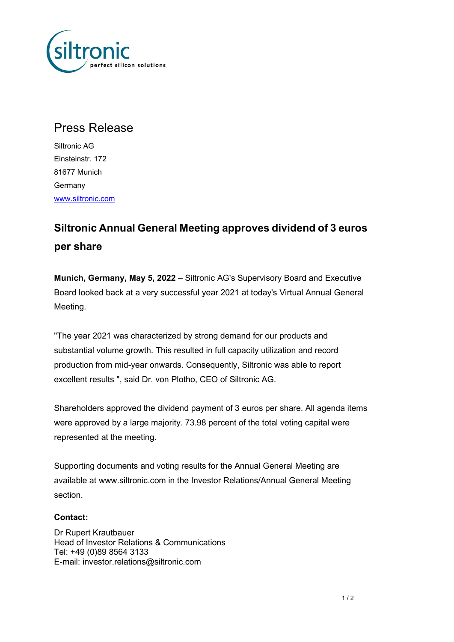

## Press Release

Siltronic AG Einsteinstr. 172 81677 Munich Germany www.siltronic.com

## Siltronic Annual General Meeting approves dividend of 3 euros per share

Munich, Germany, May 5, 2022 – Siltronic AG's Supervisory Board and Executive Board looked back at a very successful year 2021 at today's Virtual Annual General Meeting.

"The year 2021 was characterized by strong demand for our products and substantial volume growth. This resulted in full capacity utilization and record production from mid-year onwards. Consequently, Siltronic was able to report excellent results ", said Dr. von Plotho, CEO of Siltronic AG.

Shareholders approved the dividend payment of 3 euros per share. All agenda items were approved by a large majority. 73.98 percent of the total voting capital were represented at the meeting.

Supporting documents and voting results for the Annual General Meeting are available at www.siltronic.com in the Investor Relations/Annual General Meeting section.

## Contact:

Dr Rupert Krautbauer Head of Investor Relations & Communications Tel: +49 (0)89 8564 3133 E-mail: investor.relations@siltronic.com